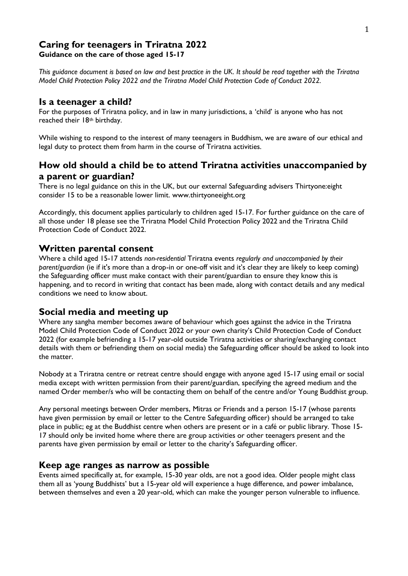### **Caring for teenagers in Triratna 2022 Guidance on the care of those aged 15-17**

*This guidance document is based on law and best practice in the UK. It should be read together with the Triratna Model Child Protection Policy 2022 and the Triratna Model Child Protection Code of Conduct 2022.*

### **Is a teenager a child?**

For the purposes of Triratna policy, and in law in many jurisdictions, a 'child' is anyone who has not reached their 18<sup>th</sup> birthday.

While wishing to respond to the interest of many teenagers in Buddhism, we are aware of our ethical and legal duty to protect them from harm in the course of Triratna activities.

# **How old should a child be to attend Triratna activities unaccompanied by a parent or guardian?**

There is no legal guidance on this in the UK, but our external Safeguarding advisers Thirtyone:eight consider 15 to be a reasonable lower limit. www.thirtyoneeight.org

Accordingly, this document applies particularly to children aged 15-17. For further guidance on the care of all those under 18 please see the Triratna Model Child Protection Policy 2022 and the Triratna Child Protection Code of Conduct 2022.

## **Written parental consent**

Where a child aged 15-17 attends *non-residential* Triratna events *regularly and unaccompanied by their parent/guardian* (ie if it's more than a drop-in or one-off visit and it's clear they are likely to keep coming) the Safeguarding officer must make contact with their parent/guardian to ensure they know this is happening, and to record in writing that contact has been made, along with contact details and any medical conditions we need to know about.

## **Social media and meeting up**

Where any sangha member becomes aware of behaviour which goes against the advice in the Triratna Model Child Protection Code of Conduct 2022 or your own charity's Child Protection Code of Conduct 2022 (for example befriending a 15-17 year-old outside Triratna activities or sharing/exchanging contact details with them or befriending them on social media) the Safeguarding officer should be asked to look into the matter.

Nobody at a Triratna centre or retreat centre should engage with anyone aged 15-17 using email or social media except with written permission from their parent/guardian, specifying the agreed medium and the named Order member/s who will be contacting them on behalf of the centre and/or Young Buddhist group.

Any personal meetings between Order members, Mitras or Friends and a person 15-17 (whose parents have given permission by email or letter to the Centre Safeguarding officer) should be arranged to take place in public; eg at the Buddhist centre when others are present or in a café or public library. Those 15- 17 should only be invited home where there are group activities or other teenagers present and the parents have given permission by email or letter to the charity's Safeguarding officer.

## **Keep age ranges as narrow as possible**

Events aimed specifically at, for example, 15-30 year olds, are not a good idea. Older people might class them all as 'young Buddhists' but a 15-year old will experience a huge difference, and power imbalance, between themselves and even a 20 year-old, which can make the younger person vulnerable to influence.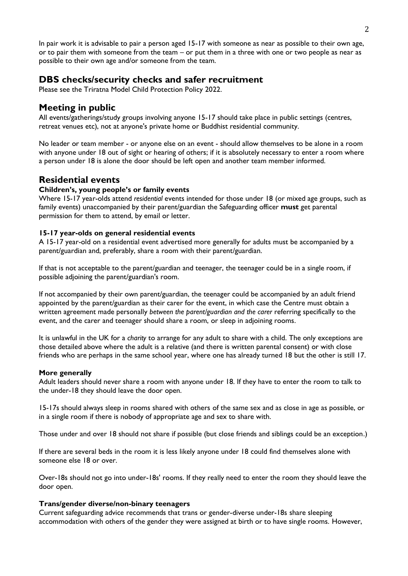In pair work it is advisable to pair a person aged 15-17 with someone as near as possible to their own age, or to pair them with someone from the team – or put them in a three with one or two people as near as possible to their own age and/or someone from the team.

# **DBS checks/security checks and safer recruitment**

Please see the Triratna Model Child Protection Policy 2022.

## **Meeting in public**

All events/gatherings/study groups involving anyone 15-17 should take place in public settings (centres, retreat venues etc), not at anyone's private home or Buddhist residential community.

No leader or team member - or anyone else on an event - should allow themselves to be alone in a room with anyone under 18 out of sight or hearing of others; if it is absolutely necessary to enter a room where a person under 18 is alone the door should be left open and another team member informed.

# **Residential events**

### **Children's, young people's or family events**

Where 15-17 year-olds attend *residential* events intended for those under 18 (or mixed age groups, such as family events) unaccompanied by their parent/guardian the Safeguarding officer **must** get parental permission for them to attend, by email or letter.

#### **15-17 year-olds on general residential events**

A 15-17 year-old on a residential event advertised more generally for adults must be accompanied by a parent/guardian and, preferably, share a room with their parent/guardian.

If that is not acceptable to the parent/guardian and teenager, the teenager could be in a single room, if possible adjoining the parent/guardian's room.

If not accompanied by their own parent/guardian, the teenager could be accompanied by an adult friend appointed by the parent/guardian as their carer for the event, in which case the Centre must obtain a written agreement made personally *between the parent/guardian and the carer* referring specifically to the event, and the carer and teenager should share a room, or sleep in adjoining rooms.

It is unlawful in the UK for a *charity* to arrange for any adult to share with a child. The only exceptions are those detailed above where the adult is a relative (and there is written parental consent) or with close friends who are perhaps in the same school year, where one has already turned 18 but the other is still 17.

#### **More generally**

Adult leaders should never share a room with anyone under 18. If they have to enter the room to talk to the under-18 they should leave the door open.

15-17s should always sleep in rooms shared with others of the same sex and as close in age as possible, or in a single room if there is nobody of appropriate age and sex to share with.

Those under and over 18 should not share if possible (but close friends and siblings could be an exception.)

If there are several beds in the room it is less likely anyone under 18 could find themselves alone with someone else 18 or over.

Over-18s should not go into under-18s' rooms. If they really need to enter the room they should leave the door open.

#### **Trans/gender diverse/non-binary teenagers**

Current safeguarding advice recommends that trans or gender-diverse under-18s share sleeping accommodation with others of the gender they were assigned at birth or to have single rooms. However,